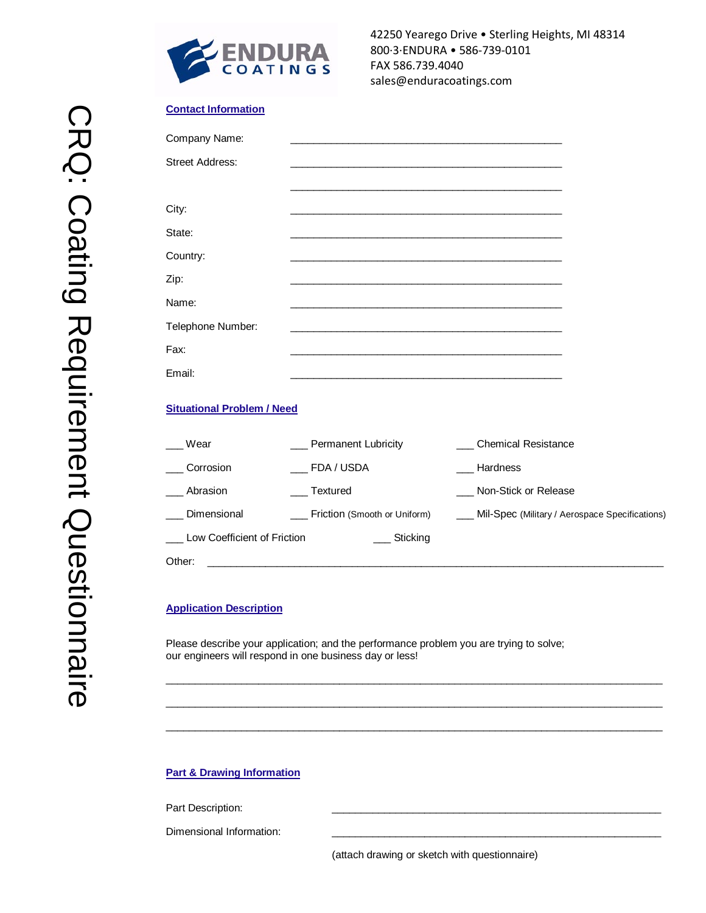

## **Contact Information**

| Company Name:                     |                     | <u> 1989 - Johann Stein, marwolaethau a bhann an t-Amhain an t-Amhain an t-Amhain an t-Amhain an t-Amhain an t-A</u> |
|-----------------------------------|---------------------|----------------------------------------------------------------------------------------------------------------------|
| <b>Street Address:</b>            |                     | <u> 1989 - Johann Stoff, amerikansk politiker (* 1908)</u>                                                           |
|                                   |                     |                                                                                                                      |
| City:                             |                     |                                                                                                                      |
| State:                            |                     |                                                                                                                      |
| Country:                          |                     | <u> 1989 - Johann Stoff, amerikansk politiker (d. 1989)</u>                                                          |
| Zip:                              |                     |                                                                                                                      |
| Name:                             |                     |                                                                                                                      |
| Telephone Number:                 |                     | and the control of the control of the control of the control of the control of the control of the control of the     |
| Fax:                              |                     |                                                                                                                      |
| Email:                            |                     |                                                                                                                      |
| <b>Situational Problem / Need</b> |                     |                                                                                                                      |
| Wear                              | Permanent Lubricity | <b>Chemical Resistance</b>                                                                                           |
| Corrosion                         | FDA / USDA          | Hardness                                                                                                             |
| Abrasion                          | Textured            | Non-Stick or Release                                                                                                 |

Dimensional \_\_\_\_ Friction (Smooth or Uniform) \_\_\_\_ Mil-Spec (Military / Aerospace Specifications)

Please describe your application; and the performance problem you are trying to solve; our engineers will respond in one business day or less!

Other: \_\_\_\_\_\_\_\_\_\_\_\_\_\_\_\_\_\_\_\_\_\_\_\_\_\_\_\_\_\_\_\_\_\_\_\_\_\_\_\_\_\_\_\_\_\_\_\_\_\_\_\_\_\_\_\_\_\_\_\_\_\_\_\_\_\_\_\_\_\_\_\_\_\_\_\_\_\_\_

\_\_\_\_\_\_\_\_\_\_\_\_\_\_\_\_\_\_\_\_\_\_\_\_\_\_\_\_\_\_\_\_\_\_\_\_\_\_\_\_\_\_\_\_\_\_\_\_\_\_\_\_\_\_\_\_\_\_\_\_\_\_\_\_\_\_\_\_\_\_\_\_\_\_\_\_\_\_\_\_\_\_\_\_\_\_

 $\_$  ,  $\_$  ,  $\_$  ,  $\_$  ,  $\_$  ,  $\_$  ,  $\_$  ,  $\_$  ,  $\_$  ,  $\_$  ,  $\_$  ,  $\_$  ,  $\_$  ,  $\_$  ,  $\_$  ,  $\_$  ,  $\_$  ,  $\_$  ,  $\_$  ,  $\_$  ,  $\_$  ,  $\_$  ,  $\_$  ,  $\_$  ,  $\_$  ,  $\_$  ,  $\_$  ,  $\_$  ,  $\_$  ,  $\_$  ,  $\_$  ,  $\_$  ,  $\_$  ,  $\_$  ,  $\_$  ,  $\_$  ,  $\_$  ,

\_\_\_\_\_\_\_\_\_\_\_\_\_\_\_\_\_\_\_\_\_\_\_\_\_\_\_\_\_\_\_\_\_\_\_\_\_\_\_\_\_\_\_\_\_\_\_\_\_\_\_\_\_\_\_\_\_\_\_\_\_\_\_\_\_\_\_\_\_\_\_\_\_\_\_\_\_\_\_\_\_\_\_\_\_\_

Low Coefficient of Friction \_\_\_\_\_\_\_\_\_ Sticking

## **Part & Drawing Information**

Part Description:

Dimensional Information:

(attach drawing or sketch with questionnaire)